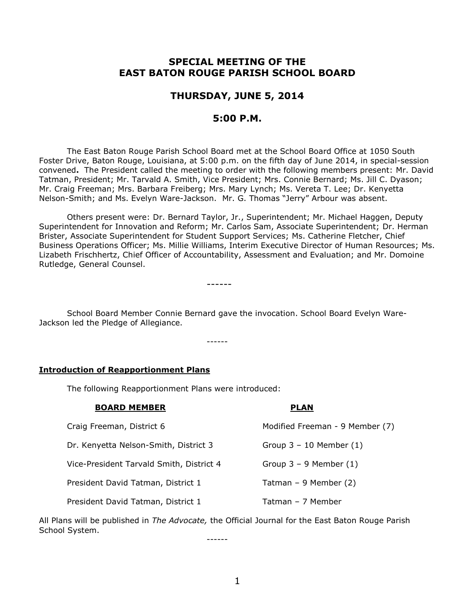# **SPECIAL MEETING OF THE EAST BATON ROUGE PARISH SCHOOL BOARD**

## **THURSDAY, JUNE 5, 2014**

## **5:00 P.M.**

The East Baton Rouge Parish School Board met at the School Board Office at 1050 South Foster Drive, Baton Rouge, Louisiana, at 5:00 p.m. on the fifth day of June 2014, in special-session convened**.** The President called the meeting to order with the following members present: Mr. David Tatman, President; Mr. Tarvald A. Smith, Vice President; Mrs. Connie Bernard; Ms. Jill C. Dyason; Mr. Craig Freeman; Mrs. Barbara Freiberg; Mrs. Mary Lynch; Ms. Vereta T. Lee; Dr. Kenyetta Nelson-Smith; and Ms. Evelyn Ware-Jackson. Mr. G. Thomas "Jerry" Arbour was absent.

Others present were: Dr. Bernard Taylor, Jr., Superintendent; Mr. Michael Haggen, Deputy Superintendent for Innovation and Reform; Mr. Carlos Sam, Associate Superintendent; Dr. Herman Brister, Associate Superintendent for Student Support Services; Ms. Catherine Fletcher, Chief Business Operations Officer; Ms. Millie Williams, Interim Executive Director of Human Resources; Ms. Lizabeth Frischhertz, Chief Officer of Accountability, Assessment and Evaluation; and Mr. Domoine Rutledge, General Counsel.

------

School Board Member Connie Bernard gave the invocation. School Board Evelyn Ware-Jackson led the Pledge of Allegiance.

------

#### **Introduction of Reapportionment Plans**

The following Reapportionment Plans were introduced:

| <b>BOARD MEMBER</b>                      | <b>PLAN</b>                     |
|------------------------------------------|---------------------------------|
| Craig Freeman, District 6                | Modified Freeman - 9 Member (7) |
| Dr. Kenyetta Nelson-Smith, District 3    | Group $3 - 10$ Member $(1)$     |
| Vice-President Tarvald Smith, District 4 | Group $3 - 9$ Member $(1)$      |
| President David Tatman, District 1       | Tatman - 9 Member (2)           |
| President David Tatman, District 1       | Tatman - 7 Member               |

All Plans will be published in *The Advocate,* the Official Journal for the East Baton Rouge Parish School System.

------